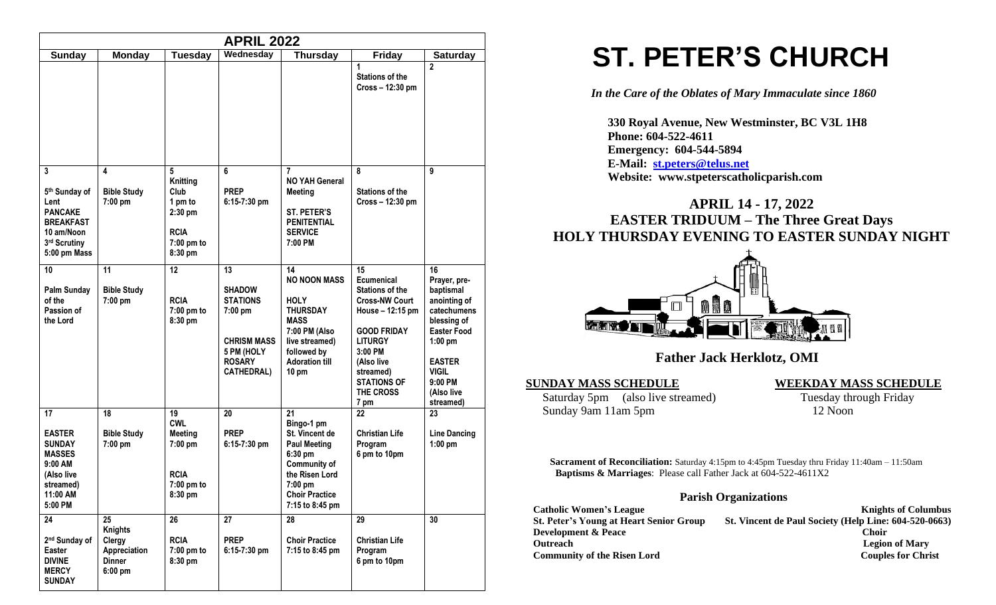| <b>APRIL 2022</b>                                                                                                  |                                                                       |                                                                                           |                                                                                                                             |                                                                                                                                                                          |                                                                                                                                                                                                                    |                                                                                                                                                                                           |
|--------------------------------------------------------------------------------------------------------------------|-----------------------------------------------------------------------|-------------------------------------------------------------------------------------------|-----------------------------------------------------------------------------------------------------------------------------|--------------------------------------------------------------------------------------------------------------------------------------------------------------------------|--------------------------------------------------------------------------------------------------------------------------------------------------------------------------------------------------------------------|-------------------------------------------------------------------------------------------------------------------------------------------------------------------------------------------|
| <b>Sunday</b>                                                                                                      | Monday                                                                | <b>Tuesday</b>                                                                            | Wednesday                                                                                                                   | <b>Thursday</b>                                                                                                                                                          | <b>Friday</b>                                                                                                                                                                                                      | <b>Saturday</b>                                                                                                                                                                           |
|                                                                                                                    |                                                                       |                                                                                           |                                                                                                                             |                                                                                                                                                                          | 1<br><b>Stations of the</b><br>Cross - 12:30 pm                                                                                                                                                                    | $\mathbf{2}$                                                                                                                                                                              |
| 3<br>5th Sunday of<br>Lent<br><b>PANCAKE</b><br><b>BREAKFAST</b><br>10 am/Noon<br>3rd Scrutiny<br>5:00 pm Mass     | 4<br><b>Bible Study</b><br>7:00 pm                                    | 5<br>Knitting<br>Club<br>1 pm to<br>$2:30$ pm<br><b>RCIA</b><br>7:00 pm to<br>8:30 pm     | 6<br><b>PREP</b><br>$6:15-7:30$ pm                                                                                          | 7<br><b>NO YAH General</b><br><b>Meeting</b><br><b>ST. PETER'S</b><br><b>PENITENTIAL</b><br><b>SERVICE</b><br>7:00 PM                                                    | 8<br><b>Stations of the</b><br>$Cross - 12:30 \text{ pm}$                                                                                                                                                          | 9                                                                                                                                                                                         |
| 10<br>Palm Sunday<br>of the<br>Passion of<br>the Lord                                                              | 11<br><b>Bible Study</b><br>7:00 pm                                   | 12<br><b>RCIA</b><br>7:00 pm to<br>8:30 pm                                                | 13<br><b>SHADOW</b><br><b>STATIONS</b><br>7:00 pm<br><b>CHRISM MASS</b><br>5 PM (HOLY<br><b>ROSARY</b><br><b>CATHEDRAL)</b> | 14<br><b>NO NOON MASS</b><br><b>HOLY</b><br><b>THURSDAY</b><br><b>MASS</b><br>7:00 PM (Also<br>live streamed)<br>followed by<br><b>Adoration till</b><br>$10 \text{ pm}$ | 15<br>Ecumenical<br><b>Stations of the</b><br><b>Cross-NW Court</b><br>House - 12:15 pm<br><b>GOOD FRIDAY</b><br><b>LITURGY</b><br>$3:00$ PM<br>(Also live<br>streamed)<br><b>STATIONS OF</b><br>THE CROSS<br>7 pm | 16<br>Prayer, pre-<br>baptismal<br>anointing of<br>catechumens<br>blessing of<br><b>Easter Food</b><br>$1:00$ pm<br><b>EASTER</b><br><b>VIGIL</b><br>$9:00$ PM<br>(Also live<br>streamed) |
| 17<br><b>EASTER</b><br><b>SUNDAY</b><br><b>MASSES</b><br>9:00 AM<br>(Also live<br>streamed)<br>11:00 AM<br>5:00 PM | 18<br><b>Bible Study</b><br>7:00 pm                                   | 19<br><b>CWL</b><br><b>Meeting</b><br>$7:00$ pm<br><b>RCIA</b><br>$7:00$ pm to<br>8:30 pm | 20<br><b>PREP</b><br>$6:15-7:30$ pm                                                                                         | 21<br>Bingo-1 pm<br>St. Vincent de<br><b>Paul Meeting</b><br>6:30 pm<br><b>Community of</b><br>the Risen Lord<br>$7:00$ pm<br><b>Choir Practice</b><br>7:15 to 8:45 pm   | 22<br><b>Christian Life</b><br>Program<br>6 pm to 10pm                                                                                                                                                             | 23<br><b>Line Dancing</b><br>$1:00$ pm                                                                                                                                                    |
| 24<br>2 <sup>nd</sup> Sunday of<br>Easter<br><b>DIVINE</b><br><b>MERCY</b><br><b>SUNDAY</b>                        | 25<br><b>Knights</b><br>Clergy<br>Appreciation<br>Dinner<br>$6:00$ pm | 26<br><b>RCIA</b><br>$7:00$ pm to<br>8:30 pm                                              | 27<br><b>PREP</b><br>6:15-7:30 pm                                                                                           | 28<br><b>Choir Practice</b><br>7:15 to 8:45 pm                                                                                                                           | 29<br><b>Christian Life</b><br>Program<br>6 pm to 10pm                                                                                                                                                             | 30                                                                                                                                                                                        |

# **ST. PETER'S CHURCH**

*In the Care of the Oblates of Mary Immaculate since 1860*

 **330 Royal Avenue, New Westminster, BC V3L 1H8 Phone: 604-522-4611 Emergency: 604-544-5894 E-Mail: [st.peters@telus.net](mailto:st.peters@telus.net) Website: www.stpeterscatholicparish.com**

# **APRIL 14 - 17, 2022 EASTER TRIDUUM – The Three Great Days HOLY THURSDAY EVENING TO EASTER SUNDAY NIGHT**



# **Father Jack Herklotz, OMI**

Saturday 5pm (also live streamed) Tuesday through Friday Sunday 9am 11am 5pm 12 Noon

**SUNDAY MASS SCHEDULE WEEKDAY MASS SCHEDULE**

**Sacrament of Reconciliation:** Saturday 4:15pm to 4:45pm Tuesday thru Friday 11:40am – 11:50am  **Baptisms & Marriages**: Please call Father Jack at 604-522-4611X2

#### **Parish Organizations**

| <b>Catholic Women's League</b>                 | <b>Knights of Columbus</b>                            |
|------------------------------------------------|-------------------------------------------------------|
| <b>St. Peter's Young at Heart Senior Group</b> | St. Vincent de Paul Society (Help Line: 604-520-0663) |
| <b>Development &amp; Peace</b>                 | Choir                                                 |
| <b>Outreach</b>                                | <b>Legion of Mary</b>                                 |
| <b>Community of the Risen Lord</b>             | <b>Couples for Christ</b>                             |